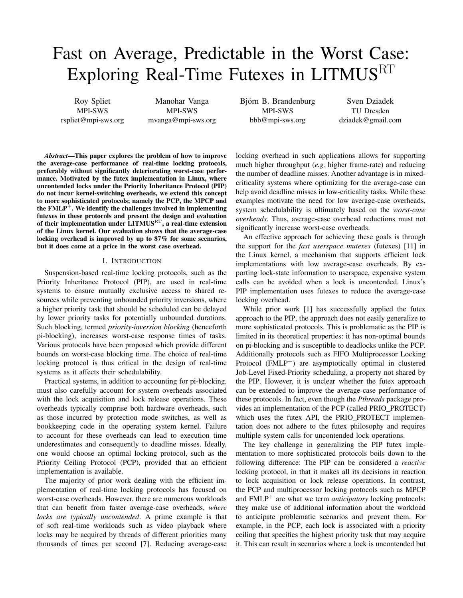# Fast on Average, Predictable in the Worst Case: Exploring Real-Time Futexes in LITMUS<sup>RT</sup>

Roy Spliet MPI-SWS rspliet@mpi-sws.org

Manohar Vanga MPI-SWS mvanga@mpi-sws.org Björn B. Brandenburg MPI-SWS bbb@mpi-sws.org

Sven Dziadek TU Dresden dziadek@gmail.com

*Abstract*—This paper explores the problem of how to improve the average-case performance of real-time locking protocols, preferably without significantly deteriorating worst-case performance. Motivated by the futex implementation in Linux, where uncontended locks under the Priority Inheritance Protocol (PIP) do not incur kernel-switching overheads, we extend this concept to more sophisticated protocols; namely the PCP, the MPCP and the  $FMLP^+$ . We identify the challenges involved in implementing futexes in these protocols and present the design and evaluation of their implementation under  $LITMUS<sup>RT</sup>$ , a real-time extension of the Linux kernel. Our evaluation shows that the average-case locking overhead is improved by up to 87% for some scenarios, but it does come at a price in the worst case overhead.

## I. INTRODUCTION

Suspension-based real-time locking protocols, such as the Priority Inheritance Protocol (PIP), are used in real-time systems to ensure mutually exclusive access to shared resources while preventing unbounded priority inversions, where a higher priority task that should be scheduled can be delayed by lower priority tasks for potentially unbounded durations. Such blocking, termed *priority-inversion blocking* (henceforth pi-blocking), increases worst-case response times of tasks. Various protocols have been proposed which provide different bounds on worst-case blocking time. The choice of real-time locking protocol is thus critical in the design of real-time systems as it affects their schedulability.

Practical systems, in addition to accounting for pi-blocking, must also carefully account for system overheads associated with the lock acquisition and lock release operations. These overheads typically comprise both hardware overheads, such as those incurred by protection mode switches, as well as bookkeeping code in the operating system kernel. Failure to account for these overheads can lead to execution time underestimates and consequently to deadline misses. Ideally, one would choose an optimal locking protocol, such as the Priority Ceiling Protocol (PCP), provided that an efficient implementation is available.

The majority of prior work dealing with the efficient implementation of real-time locking protocols has focused on worst-case overheads. However, there are numerous workloads that can benefit from faster average-case overheads, *where locks are typically uncontended*. A prime example is that of soft real-time workloads such as video playback where locks may be acquired by threads of different priorities many thousands of times per second [\[7\]](#page-9-0). Reducing average-case

locking overhead in such applications allows for supporting much higher throughput (*e.g.* higher frame-rate) and reducing the number of deadline misses. Another advantage is in mixedcriticality systems where optimizing for the average-case can help avoid deadline misses in low-criticality tasks. While these examples motivate the need for low average-case overheads, system schedulability is ultimately based on the *worst-case overheads*. Thus, average-case overhead reductions must not significantly increase worst-case overheads.

An effective approach for achieving these goals is through the support for the *fast userspace mutexes* (futexes) [\[11\]](#page-9-1) in the Linux kernel, a mechanism that supports efficient lock implementations with low average-case overheads. By exporting lock-state information to userspace, expensive system calls can be avoided when a lock is uncontended. Linux's PIP implementation uses futexes to reduce the average-case locking overhead.

While prior work [\[1\]](#page-9-2) has successfully applied the futex approach to the PIP, the approach does not easily generalize to more sophisticated protocols. This is problematic as the PIP is limited in its theoretical properties: it has non-optimal bounds on pi-blocking and is susceptible to deadlocks unlike the PCP. Additionally protocols such as FIFO Multiprocessor Locking Protocol  $(FMLP^+)$  are asymptotically optimal in clustered Job-Level Fixed-Priority scheduling, a property not shared by the PIP. However, it is unclear whether the futex approach can be extended to improve the average-case performance of these protocols. In fact, even though the *Pthreads* package provides an implementation of the PCP (called PRIO PROTECT) which uses the futex API, the PRIO\_PROTECT implementation does not adhere to the futex philosophy and requires multiple system calls for uncontended lock operations.

The key challenge in generalizing the PIP futex implementation to more sophisticated protocols boils down to the following difference: The PIP can be considered a *reactive* locking protocol, in that it makes all its decisions in reaction to lock acquisition or lock release operations. In contrast, the PCP and multiprocessor locking protocols such as MPCP and FMLP<sup>+</sup> are what we term *anticipatory* locking protocols: they make use of additional information about the workload to anticipate problematic scenarios and prevent them. For example, in the PCP, each lock is associated with a priority ceiling that specifies the highest priority task that may acquire it. This can result in scenarios where a lock is uncontended but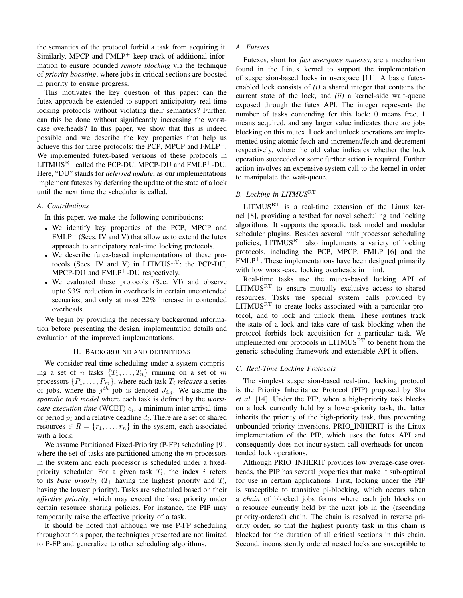the semantics of the protocol forbid a task from acquiring it. Similarly, MPCP and  $FMLP^+$  keep track of additional information to ensure bounded *remote blocking* via the technique of *priority boosting*, where jobs in critical sections are boosted in priority to ensure progress.

This motivates the key question of this paper: can the futex approach be extended to support anticipatory real-time locking protocols without violating their semantics? Further, can this be done without significantly increasing the worstcase overheads? In this paper, we show that this is indeed possible and we describe the key properties that help us achieve this for three protocols: the PCP, MPCP and FMLP+. We implemented futex-based versions of these protocols in LITMUSRT called the PCP-DU, MPCP-DU and FMLP+-DU. Here, "DU" stands for *deferred update*, as our implementations implement futexes by deferring the update of the state of a lock until the next time the scheduler is called.

#### *A. Contributions*

In this paper, we make the following contributions:

- We identify key properties of the PCP, MPCP and  $FMLP<sup>+</sup>$  (Secs. [IV](#page-3-0) and [V\)](#page-4-0) that allow us to extend the futex approach to anticipatory real-time locking protocols.
- We describe futex-based implementations of these pro-tocols (Secs. [IV](#page-3-0) and [V\)](#page-4-0) in  $LITMUS<sup>RT</sup>$ : the PCP-DU, MPCP-DU and  $FMLP^+$ -DU respectively.
- We evaluated these protocols (Sec. [VI\)](#page-5-0) and observe upto 93% reduction in overheads in certain uncontended scenarios, and only at most 22% increase in contended overheads.

We begin by providing the necessary background information before presenting the design, implementation details and evaluation of the improved implementations.

#### II. BACKGROUND AND DEFINITIONS

<span id="page-1-0"></span>We consider real-time scheduling under a system comprising a set of *n* tasks  $\{T_1, \ldots, T_n\}$  running on a set of *m* processors  $\{P_1, \ldots, P_m\}$ , where each task  $T_i$  *releases* a series of jobs, where the  $j<sup>th</sup>$  job is denoted  $J_{i,j}$ . We assume the *sporadic task model* where each task is defined by the *worst* $case$  *execution time* (WCET)  $e_i$ , a minimum inter-arrival time or period  $p_i$  and a relative deadline  $d_i$ . There are a set of shared resources  $\in$   $R = \{r_1, \ldots, r_n\}$  in the system, each associated with a lock.

We assume Partitioned Fixed-Priority (P-FP) scheduling [\[9\]](#page-9-3), where the set of tasks are partitioned among the  $m$  processors in the system and each processor is scheduled under a fixedpriority scheduler. For a given task  $T_i$ , the index i refers to its *base priority*  $(T_1)$  having the highest priority and  $T_n$ having the lowest priority). Tasks are scheduled based on their *effective priority*, which may exceed the base priority under certain resource sharing policies. For instance, the PIP may temporarily raise the effective priority of a task.

It should be noted that although we use P-FP scheduling throughout this paper, the techniques presented are not limited to P-FP and generalize to other scheduling algorithms.

#### *A. Futexes*

Futexes, short for *fast userspace mutexes*, are a mechanism found in the Linux kernel to support the implementation of suspension-based locks in userspace [\[11\]](#page-9-1). A basic futexenabled lock consists of *(i)* a shared integer that contains the current state of the lock, and *(ii)* a kernel-side wait-queue exposed through the futex API. The integer represents the number of tasks contending for this lock: 0 means free, 1 means acquired, and any larger value indicates there are jobs blocking on this mutex. Lock and unlock operations are implemented using atomic fetch-and-increment/fetch-and-decrement respectively, where the old value indicates whether the lock operation succeeded or some further action is required. Further action involves an expensive system call to the kernel in order to manipulate the wait-queue.

# *B. Locking in LITMUS*RT

LITMUSRT is a real-time extension of the Linux kernel [\[8\]](#page-9-4), providing a testbed for novel scheduling and locking algorithms. It supports the sporadic task model and modular scheduler plugins. Besides several multiprocessor scheduling policies, LITMUSRT also implements a variety of locking protocols, including the PCP, MPCP, FMLP [\[6\]](#page-9-5) and the  $FMLP<sup>+</sup>$ . These implementations have been designed primarily with low worst-case locking overheads in mind.

Real-time tasks use the mutex-based locking API of  $LITMUS<sup>RT</sup>$  to ensure mutually exclusive access to shared resources. Tasks use special system calls provided by LITMUSRT to create locks associated with a particular protocol, and to lock and unlock them. These routines track the state of a lock and take care of task blocking when the protocol forbids lock acquisition for a particular task. We implemented our protocols in LITMUSRT to benefit from the generic scheduling framework and extensible API it offers.

#### *C. Real-Time Locking Protocols*

The simplest suspension-based real-time locking protocol is the Priority Inheritance Protocol (PIP) proposed by Sha *et al*. [\[14\]](#page-9-6). Under the PIP, when a high-priority task blocks on a lock currently held by a lower-priority task, the latter inherits the priority of the high-priority task, thus preventing unbounded priority inversions. PRIO INHERIT is the Linux implementation of the PIP, which uses the futex API and consequently does not incur system call overheads for uncontended lock operations.

Although PRIO\_INHERIT provides low average-case overheads, the PIP has several properties that make it sub-optimal for use in certain applications. First, locking under the PIP is susceptible to transitive pi-blocking, which occurs when a *chain* of blocked jobs forms where each job blocks on a resource currently held by the next job in the (ascending priority-ordered) chain. The chain is resolved in reverse priority order, so that the highest priority task in this chain is blocked for the duration of all critical sections in this chain. Second, inconsistently ordered nested locks are susceptible to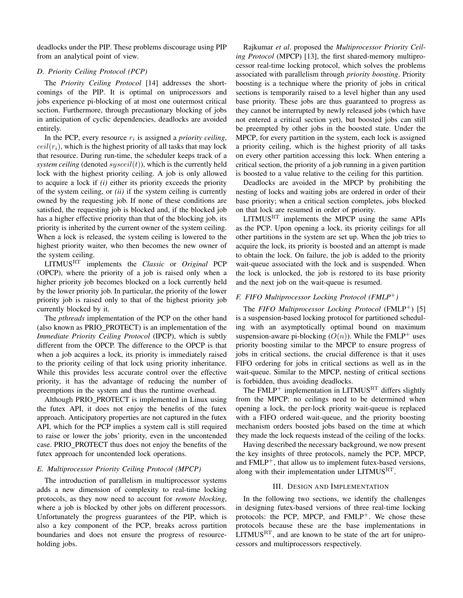deadlocks under the PIP. These problems discourage using PIP from an analytical point of view.

## <span id="page-2-0"></span>*D. Priority Ceiling Protocol (PCP)*

The *Priority Ceiling Protocol* [\[14\]](#page-9-6) addresses the shortcomings of the PIP. It is optimal on uniprocessors and jobs experience pi-blocking of at most one outermost critical section. Furthermore, through precautionary blocking of jobs in anticipation of cyclic dependencies, deadlocks are avoided entirely.

In the PCP, every resource  $r_i$  is assigned a *priority ceiling*,  $ceil(r<sub>i</sub>)$ , which is the highest priority of all tasks that may lock that resource. During run-time, the scheduler keeps track of a *system ceiling* (denoted  $sysceil(t)$ ), which is the currently held lock with the highest priority ceiling. A job is only allowed to acquire a lock if *(i)* either its priority exceeds the priority of the system ceiling, or *(ii)* if the system ceiling is currently owned by the requesting job. If none of these conditions are satisfied, the requesting job is blocked and, if the blocked job has a higher effective priority than that of the blocking job, its priority is inherited by the current owner of the system ceiling. When a lock is released, the system ceiling is lowered to the highest priority waiter, who then becomes the new owner of the system ceiling.

LITMUSRT implements the *Classic* or *Original* PCP (OPCP), where the priority of a job is raised only when a higher priority job becomes blocked on a lock currently held by the lower priority job. In particular, the priority of the lower priority job is raised only to that of the highest priority job currently blocked by it.

The *pthreads* implementation of the PCP on the other hand (also known as PRIO\_PROTECT) is an implementation of the *Immediate Priority Ceiling Protocol* (IPCP), which is subtly different from the OPCP. The difference to the OPCP is that when a job acquires a lock, its priority is immediately raised to the priority ceiling of that lock using priority inheritance. While this provides less accurate control over the effective priority, it has the advantage of reducing the number of preemptions in the system and thus the runtime overhead.

Although PRIO PROTECT is implemented in Linux using the futex API, it does not enjoy the benefits of the futex approach. Anticipatory properties are not captured in the futex API, which for the PCP implies a system call is still required to raise or lower the jobs' priority, even in the uncontended case. PRIO PROTECT thus does not enjoy the benefits of the futex approach for uncontended lock operations.

## *E. Multiprocessor Priority Ceiling Protocol (MPCP)*

The introduction of parallelism in multiprocessor systems adds a new dimension of complexity to real-time locking protocols, as they now need to account for *remote blocking*, where a job is blocked by other jobs on different processors. Unfortunately the progress guarantees of the PIP, which is also a key component of the PCP, breaks across partition boundaries and does not ensure the progress of resourceholding jobs.

Rajkumar *et al*. proposed the *Multiprocessor Priority Ceiling Protocol* (MPCP) [\[13\]](#page-9-7), the first shared-memory multiprocessor real-time locking protocol, which solves the problems associated with parallelism through *priority boosting*. Priority boosting is a technique where the priority of jobs in critical sections is temporarily raised to a level higher than any used base priority. These jobs are thus guaranteed to progress as they cannot be interrupted by newly released jobs (which have not entered a critical section yet), but boosted jobs can still be preempted by other jobs in the boosted state. Under the MPCP, for every partition in the system, each lock is assigned a priority ceiling, which is the highest priority of all tasks on every other partition accessing this lock. When entering a critical section, the priority of a job running in a given partition is boosted to a value relative to the ceiling for this partition.

Deadlocks are avoided in the MPCP by prohibiting the nesting of locks and waiting jobs are ordered in order of their base priority; when a critical section completes, jobs blocked on that lock are resumed in order of priority.

 $LITMUS<sup>RT</sup>$  implements the MPCP using the same APIs as the PCP. Upon opening a lock, its priority ceilings for all other partitions in the system are set up. When the job tries to acquire the lock, its priority is boosted and an attempt is made to obtain the lock. On failure, the job is added to the priority wait-queue associated with the lock and is suspended. When the lock is unlocked, the job is restored to its base priority and the next job on the wait-queue is resumed.

# *F. FIFO Multiprocessor Locking Protocol (FMLP*+*)*

The *FIFO Multiprocessor Locking Protocol* (FMLP<sup>+</sup>) [\[5\]](#page-9-8) is a suspension-based locking protocol for partitioned scheduling with an asymptotically optimal bound on maximum suspension-aware pi-blocking  $(O(n))$ . While the FMLP<sup>+</sup> uses priority boosting similar to the MPCP to ensure progress of jobs in critical sections, the crucial difference is that it uses FIFO ordering for jobs in critical sections as well as in the wait-queue. Similar to the MPCP, nesting of critical sections is forbidden, thus avoiding deadlocks.

The  $FMLP^+$  implementation in LITMUS<sup>RT</sup> differs slightly from the MPCP: no ceilings need to be determined when opening a lock, the per-lock priority wait-queue is replaced with a FIFO ordered wait-queue, and the priority boosting mechanism orders boosted jobs based on the time at which they made the lock requests instead of the ceiling of the locks.

Having described the necessary background, we now present the key insights of three protocols, namely the PCP, MPCP, and  $FMLP^+$ , that allow us to implement futex-based versions, along with their implementation under  $LITMUS<sup>RT</sup>$ .

## III. DESIGN AND IMPLEMENTATION

In the following two sections, we identify the challenges in designing futex-based versions of three real-time locking protocols: the PCP, MPCP, and  $FMLP^+$ . We chose these protocols because these are the base implementations in  $LITMUS<sup>RT</sup>$ , and are known to be state of the art for uniprocessors and multiprocessors respectively.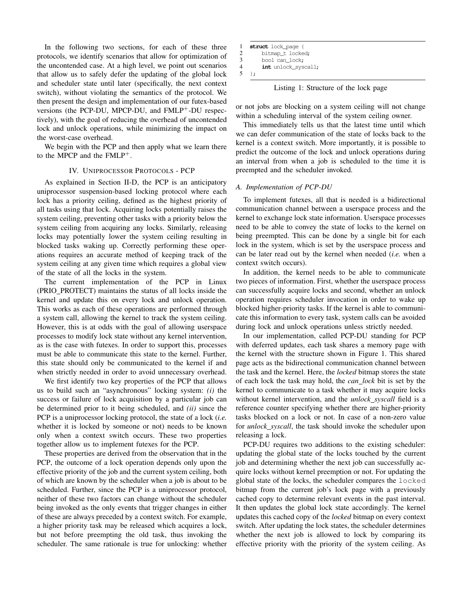In the following two sections, for each of these three protocols, we identify scenarios that allow for optimization of the uncontended case. At a high level, we point out scenarios that allow us to safely defer the updating of the global lock and scheduler state until later (specifically, the next context switch), without violating the semantics of the protocol. We then present the design and implementation of our futex-based versions (the PCP-DU, MPCP-DU, and FMLP+-DU respectively), with the goal of reducing the overhead of uncontended lock and unlock operations, while minimizing the impact on the worst-case overhead.

We begin with the PCP and then apply what we learn there to the MPCP and the  $FMLP^+$ .

## IV. UNIPROCESSOR PROTOCOLS - PCP

<span id="page-3-0"></span>As explained in Section [II-D,](#page-2-0) the PCP is an anticipatory uniprocessor suspension-based locking protocol where each lock has a priority ceiling, defined as the highest priority of all tasks using that lock. Acquiring locks potentially raises the system ceiling, preventing other tasks with a priority below the system ceiling from acquiring any locks. Similarly, releasing locks may potentially lower the system ceiling resulting in blocked tasks waking up. Correctly performing these operations requires an accurate method of keeping track of the system ceiling at any given time which requires a global view of the state of all the locks in the system.

The current implementation of the PCP in Linux (PRIO PROTECT) maintains the status of all locks inside the kernel and update this on every lock and unlock operation. This works as each of these operations are performed through a system call, allowing the kernel to track the system ceiling. However, this is at odds with the goal of allowing userspace processes to modify lock state without any kernel intervention, as is the case with futexes. In order to support this, processes must be able to communicate this state to the kernel. Further, this state should only be communicated to the kernel if and when strictly needed in order to avoid unnecessary overhead.

We first identify two key properties of the PCP that allows us to build such an "asynchronous" locking system: *(i)* the success or failure of lock acquisition by a particular job can be determined prior to it being scheduled, and *(ii)* since the PCP is a uniprocessor locking protocol, the state of a lock (*i.e.* whether it is locked by someone or not) needs to be known only when a context switch occurs. These two properties together allow us to implement futexes for the PCP.

These properties are derived from the observation that in the PCP, the outcome of a lock operation depends only upon the effective priority of the job and the current system ceiling, both of which are known by the scheduler when a job is about to be scheduled. Further, since the PCP is a uniprocessor protocol, neither of these two factors can change without the scheduler being invoked as the only events that trigger changes in either of these are always preceded by a context switch. For example, a higher priority task may be released which acquires a lock, but not before preempting the old task, thus invoking the scheduler. The same rationale is true for unlocking: whether

| -1                       | struct lock page {  |  |
|--------------------------|---------------------|--|
| 2                        | bitmap_t_locked;    |  |
| $\mathcal{F}$            | bool can lock;      |  |
| $\boldsymbol{\varDelta}$ | int unlock_syscall; |  |
| 5                        | $\cdot$             |  |

Listing 1: Structure of the lock page

<span id="page-3-1"></span>or not jobs are blocking on a system ceiling will not change within a scheduling interval of the system ceiling owner.

This immediately tells us that the latest time until which we can defer communication of the state of locks back to the kernel is a context switch. More importantly, it is possible to predict the outcome of the lock and unlock operations during an interval from when a job is scheduled to the time it is preempted and the scheduler invoked.

## *A. Implementation of PCP-DU*

To implement futexes, all that is needed is a bidirectional communication channel between a userspace process and the kernel to exchange lock state information. Userspace processes need to be able to convey the state of locks to the kernel on being preempted. This can be done by a single bit for each lock in the system, which is set by the userspace process and can be later read out by the kernel when needed (*i.e.* when a context switch occurs).

In addition, the kernel needs to be able to communicate two pieces of information. First, whether the userspace process can successfully acquire locks and second, whether an unlock operation requires scheduler invocation in order to wake up blocked higher-priority tasks. If the kernel is able to communicate this information to every task, system calls can be avoided during lock and unlock operations unless strictly needed.

In our implementation, called PCP-DU standing for PCP with deferred updates, each task shares a memory page with the kernel with the structure shown in Figure [1.](#page-3-1) This shared page acts as the bidirectional communication channel between the task and the kernel. Here, the *locked* bitmap stores the state of each lock the task may hold, the *can lock* bit is set by the kernel to communicate to a task whether it may acquire locks without kernel intervention, and the *unlock syscall* field is a reference counter specifying whether there are higher-priority tasks blocked on a lock or not. In case of a non-zero value for *unlock syscall*, the task should invoke the scheduler upon releasing a lock.

PCP-DU requires two additions to the existing scheduler: updating the global state of the locks touched by the current job and determining whether the next job can successfully acquire locks without kernel preemption or not. For updating the global state of the locks, the scheduler compares the locked bitmap from the current job's lock page with a previously cached copy to determine relevant events in the past interval. It then updates the global lock state accordingly. The kernel updates this cached copy of the *locked* bitmap on every context switch. After updating the lock states, the scheduler determines whether the next job is allowed to lock by comparing its effective priority with the priority of the system ceiling. As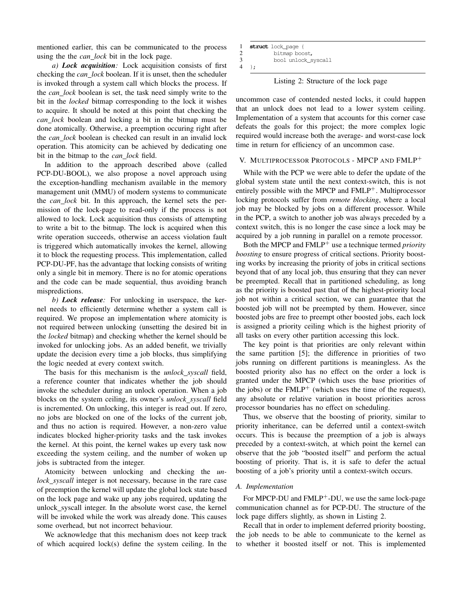mentioned earlier, this can be communicated to the process using the the *can lock* bit in the lock page.

*a) Lock acquisition:* Lock acquisition consists of first checking the *can lock* boolean. If it is unset, then the scheduler is invoked through a system call which blocks the process. If the *can lock* boolean is set, the task need simply write to the bit in the *locked* bitmap corresponding to the lock it wishes to acquire. It should be noted at this point that checking the *can lock* boolean and locking a bit in the bitmap must be done atomically. Otherwise, a preemption occuring right after the *can lock* boolean is checked can result in an invalid lock operation. This atomicity can be achieved by dedicating one bit in the bitmap to the *can lock* field.

In addition to the approach described above (called PCP-DU-BOOL), we also propose a novel approach using the exception-handling mechanism available in the memory management unit (MMU) of modern systems to communicate the *can lock* bit. In this approach, the kernel sets the permission of the lock-page to read-only if the process is not allowed to lock. Lock acquisition thus consists of attempting to write a bit to the bitmap. The lock is acquired when this write operation succeeds, otherwise an access violation fault is triggered which automatically invokes the kernel, allowing it to block the requesting process. This implementation, called PCP-DU-PF, has the advantage that locking consists of writing only a single bit in memory. There is no for atomic operations and the code can be made sequential, thus avoiding branch mispredictions.

*b) Lock release:* For unlocking in userspace, the kernel needs to efficiently determine whether a system call is required. We propose an implementation where atomicity is not required between unlocking (unsetting the desired bit in the *locked* bitmap) and checking whether the kernel should be invoked for unlocking jobs. As an added benefit, we trivially update the decision every time a job blocks, thus simplifying the logic needed at every context switch.

The basis for this mechanism is the *unlock syscall* field, a reference counter that indicates whether the job should invoke the scheduler during an unlock operation. When a job blocks on the system ceiling, its owner's *unlock syscall* field is incremented. On unlocking, this integer is read out. If zero, no jobs are blocked on one of the locks of the current job, and thus no action is required. However, a non-zero value indicates blocked higher-priority tasks and the task invokes the kernel. At this point, the kernel wakes up every task now exceeding the system ceiling, and the number of woken up jobs is subtracted from the integer.

Atomicity between unlocking and checking the *unlock syscall* integer is not necessary, because in the rare case of preemption the kernel will update the global lock state based on the lock page and wake up any jobs required, updating the unlock syscall integer. In the absolute worst case, the kernel will be invoked while the work was already done. This causes some overhead, but not incorrect behaviour.

We acknowledge that this mechanism does not keep track of which acquired lock(s) define the system ceiling. In the

| 1 | struct lock page {  |
|---|---------------------|
| 2 | bitmap boost,       |
| 3 | bool unlock_syscall |
| 4 |                     |

Listing 2: Structure of the lock page

<span id="page-4-1"></span>uncommon case of contended nested locks, it could happen that an unlock does not lead to a lower system ceiling. Implementation of a system that accounts for this corner case defeats the goals for this project; the more complex logic required would increase both the average- and worst-case lock time in return for efficiency of an uncommon case.

## <span id="page-4-0"></span>V. MULTIPROCESSOR PROTOCOLS - MPCP AND FMLP<sup>+</sup>

While with the PCP we were able to defer the update of the global system state until the next context-switch, this is not entirely possible with the MPCP and FMLP<sup>+</sup>. Multiprocessor locking protocols suffer from *remote blocking*, where a local job may be blocked by jobs on a different processor. While in the PCP, a switch to another job was always preceded by a context switch, this is no longer the case since a lock may be acquired by a job running in parallel on a remote processor.

Both the MPCP and FMLP<sup>+</sup> use a technique termed *priority boosting* to ensure progress of critical sections. Priority boosting works by increasing the priority of jobs in critical sections beyond that of any local job, thus ensuring that they can never be preempted. Recall that in partitioned scheduling, as long as the priority is boosted past that of the highest-priority local job not within a critical section, we can guarantee that the boosted job will not be preempted by them. However, since boosted jobs are free to preempt other boosted jobs, each lock is assigned a priority ceiling which is the highest priority of all tasks on every other partition accessing this lock.

The key point is that priorities are only relevant within the same partition [\[5\]](#page-9-8); the difference in priorities of two jobs running on different partitions is meaningless. As the boosted priority also has no effect on the order a lock is granted under the MPCP (which uses the base priorities of the jobs) or the  $FMLP^+$  (which uses the time of the request), any absolute or relative variation in boost priorities across processor boundaries has no effect on scheduling.

Thus, we observe that the boosting of priority, similar to priority inheritance, can be deferred until a context-switch occurs. This is because the preemption of a job is always preceded by a context-switch, at which point the kernel can observe that the job "boosted itself" and perform the actual boosting of priority. That is, it is safe to defer the actual boosting of a job's priority until a context-switch occurs.

## *A. Implementation*

For MPCP-DU and FMLP<sup>+</sup>-DU, we use the same lock-page communication channel as for PCP-DU. The structure of the lock page differs slightly, as shown in Listing [2.](#page-4-1)

Recall that in order to implement deferred priority boosting, the job needs to be able to communicate to the kernel as to whether it boosted itself or not. This is implemented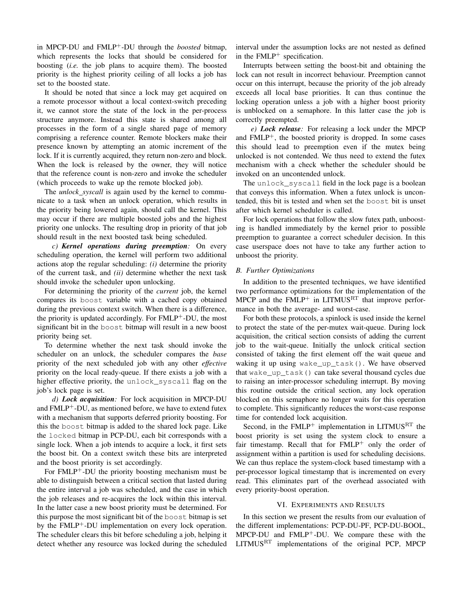in MPCP-DU and FMLP+-DU through the *boosted* bitmap, which represents the locks that should be considered for boosting (*i.e.* the job plans to acquire them). The boosted priority is the highest priority ceiling of all locks a job has set to the boosted state.

It should be noted that since a lock may get acquired on a remote processor without a local context-switch preceding it, we cannot store the state of the lock in the per-process structure anymore. Instead this state is shared among all processes in the form of a single shared page of memory comprising a reference counter. Remote blockers make their presence known by attempting an atomic increment of the lock. If it is currently acquired, they return non-zero and block. When the lock is released by the owner, they will notice that the reference count is non-zero and invoke the scheduler (which proceeds to wake up the remote blocked job).

The *unlock syscall* is again used by the kernel to communicate to a task when an unlock operation, which results in the priority being lowered again, should call the kernel. This may occur if there are multiple boosted jobs and the highest priority one unlocks. The resulting drop in priority of that job should result in the next boosted task being scheduled.

*c) Kernel operations during preemption:* On every scheduling operation, the kernel will perform two additional actions atop the regular scheduling: *(i)* determine the priority of the current task, and *(ii)* determine whether the next task should invoke the scheduler upon unlocking.

For determining the priority of the *current* job, the kernel compares its boost variable with a cached copy obtained during the previous context switch. When there is a difference, the priority is updated accordingly. For FMLP<sup>+</sup>-DU, the most significant bit in the boost bitmap will result in a new boost priority being set.

To determine whether the next task should invoke the scheduler on an unlock, the scheduler compares the *base* priority of the next scheduled job with any other *effective* priority on the local ready-queue. If there exists a job with a higher effective priority, the unlock\_syscall flag on the job's lock page is set.

*d) Lock acquisition:* For lock acquisition in MPCP-DU and  $FMLP^+$ -DU, as mentioned before, we have to extend futex with a mechanism that supports deferred priority boosting. For this the boost bitmap is added to the shared lock page. Like the locked bitmap in PCP-DU, each bit corresponds with a single lock. When a job intends to acquire a lock, it first sets the boost bit. On a context switch these bits are interpreted and the boost priority is set accordingly.

For FMLP<sup>+</sup>-DU the priority boosting mechanism must be able to distinguish between a critical section that lasted during the entire interval a job was scheduled, and the case in which the job releases and re-acquires the lock within this interval. In the latter case a new boost priority must be determined. For this purpose the most significant bit of the boost bitmap is set by the FMLP<sup>+</sup>-DU implementation on every lock operation. The scheduler clears this bit before scheduling a job, helping it detect whether any resource was locked during the scheduled interval under the assumption locks are not nested as defined in the  $FMLP^+$  specification.

Interrupts between setting the boost-bit and obtaining the lock can not result in incorrect behaviour. Preemption cannot occur on this interrupt, because the priority of the job already exceeds all local base priorities. It can thus continue the locking operation unless a job with a higher boost priority is unblocked on a semaphore. In this latter case the job is correctly preempted.

*e) Lock release:* For releasing a lock under the MPCP and  $FMLP^+$ , the boosted priority is dropped. In some cases this should lead to preemption even if the mutex being unlocked is not contended. We thus need to extend the futex mechanism with a check whether the scheduler should be invoked on an uncontended unlock.

The unlock\_syscall field in the lock page is a boolean that conveys this information. When a futex unlock is uncontended, this bit is tested and when set the boost bit is unset after which kernel scheduler is called.

For lock operations that follow the slow futex path, unboosting is handled immediately by the kernel prior to possible preemption to guarantee a correct scheduler decision. In this case userspace does not have to take any further action to unboost the priority.

#### *B. Further Optimizations*

In addition to the presented techniques, we have identified two performance optimizations for the implementation of the MPCP and the  $FMLP^+$  in LITMUS<sup>RT</sup> that improve performance in both the average- and worst-case.

For both these protocols, a spinlock is used inside the kernel to protect the state of the per-mutex wait-queue. During lock acquisition, the critical section consists of adding the current job to the wait-queue. Initially the unlock critical section consisted of taking the first element off the wait queue and waking it up using wake\_up\_task(). We have observed that wake\_up\_task() can take several thousand cycles due to raising an inter-processor scheduling interrupt. By moving this routine outside the critical section, any lock operation blocked on this semaphore no longer waits for this operation to complete. This significantly reduces the worst-case response time for contended lock acquisition.

Second, in the  $FMLP^+$  implementation in LITMUS<sup>RT</sup> the boost priority is set using the system clock to ensure a fair timestamp. Recall that for FMLP<sup>+</sup> only the order of assignment within a partition is used for scheduling decisions. We can thus replace the system-clock based timestamp with a per-processor logical timestamp that is incremented on every read. This eliminates part of the overhead associated with every priority-boost operation.

#### VI. EXPERIMENTS AND RESULTS

<span id="page-5-0"></span>In this section we present the results from our evaluation of the different implementations: PCP-DU-PF, PCP-DU-BOOL, MPCP-DU and FMLP<sup>+</sup>-DU. We compare these with the LITMUSRT implementations of the original PCP, MPCP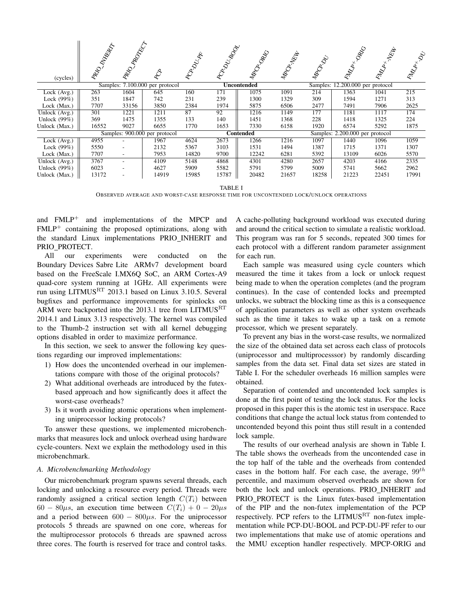| (cycles)                          | <b>RABBACC</b><br>RD | RADOKCT<br>RD <sup>1</sup> |                               |       |       | MADORAN            | MADA YEEK |                                  | RADA                            | REA<br>to de la conte de la procession de la conte de la conte de la conte de la conte de la conte de la conte de la<br>Liberation de la conte de la conte de la conte de la conte de la conte de la conte de la conte de la conte de l<br> | <b>RADICAL DE</b> |
|-----------------------------------|----------------------|----------------------------|-------------------------------|-------|-------|--------------------|-----------|----------------------------------|---------------------------------|---------------------------------------------------------------------------------------------------------------------------------------------------------------------------------------------------------------------------------------------|-------------------|
| Samples: 7.100.000 per protocol   |                      |                            |                               |       |       | <b>Uncontended</b> |           | Samples: 12.200.000 per protocol |                                 |                                                                                                                                                                                                                                             |                   |
| Lock (Avg.)                       | 263                  | 1604                       | 645                           | 160   | 171   | 1075               | 1091      | 214                              | 1363                            | 1041                                                                                                                                                                                                                                        | 215               |
| Lock (99%)                        | 351                  | 1847                       | 742                           | 231   | 239   | 1300               | 1329      | 309                              | 1594                            | 1271                                                                                                                                                                                                                                        | 313               |
| Lock (Max.)                       | 7707                 | 33156                      | 3850                          | 2384  | 1974  | 5875               | 6506      | 2477                             | 7491                            | 7906                                                                                                                                                                                                                                        | 2625              |
| $\overline{\text{Unlock}}$ (Avg.) | 301                  | 1221                       | 1211                          | 87    | 92    | 1216               | 1149      | 177                              | 1181                            | 1117                                                                                                                                                                                                                                        | 174               |
| Unlock (99%)                      | 369                  | 1475                       | 1355                          | 133   | 140   | 1451               | 1368      | 228                              | 1418                            | 1325                                                                                                                                                                                                                                        | 224               |
| Unlock (Max.)                     | 16552                | 9027                       | 6655                          | 1770  | 1653  | 7330               | 6158      | 1920                             | 6574                            | 5292                                                                                                                                                                                                                                        | 1875              |
|                                   |                      |                            | Samples: 900.000 per protocol |       |       | <b>Contended</b>   |           |                                  | Samples: 2.200.000 per protocol |                                                                                                                                                                                                                                             |                   |
| $\overline{\text{Lock}}$ (Avg.)   | 4955                 |                            | 1967                          | 4624  | 2673  | 1266               | 1216      | 1097                             | 1440                            | 1096                                                                                                                                                                                                                                        | 1059              |
| Lock (99%)                        | 5550                 |                            | 2132                          | 5367  | 3103  | 1531               | 1494      | 1387                             | 1715                            | 1371                                                                                                                                                                                                                                        | 1307              |
| Lock (Max.)                       | 7707                 | $\overline{\phantom{a}}$   | 7953                          | 14820 | 9700  | 12242              | 6281      | 5392                             | 13109                           | 6026                                                                                                                                                                                                                                        | 5570              |
| Unlock (Avg.)                     | 3767                 |                            | 4109                          | 5148  | 4868  | 4301               | 4280      | 2657                             | 4203                            | 4166                                                                                                                                                                                                                                        | 2335              |
| Unlock (99%)                      | 6023                 |                            | 4627                          | 5909  | 5582  | 5791               | 5799      | 5009                             | 5741                            | 5662                                                                                                                                                                                                                                        | 2962              |
| Unlock (Max.)                     | 13172                |                            | 14919                         | 15985 | 15787 | 20482              | 21657     | 18258                            | 21223                           | 22451                                                                                                                                                                                                                                       | 17991             |

<span id="page-6-0"></span>TABLE I

OBSERVED AVERAGE AND WORST-CASE RESPONSE TIME FOR UNCONTENDED LOCK/UNLOCK OPERATIONS

and FMLP<sup>+</sup> and implementations of the MPCP and  $FMLP^+$  containing the proposed optimizations, along with the standard Linux implementations PRIO INHERIT and PRIO PROTECT.

All our experiments were conducted on the Boundary Devices Sabre Lite ARMv7 development board based on the FreeScale I.MX6Q SoC, an ARM Cortex-A9 quad-core system running at 1GHz. All experiments were run using LITMUS<sup>RT</sup> 2013.1 based on Linux 3.10.5. Several bugfixes and performance improvements for spinlocks on ARM were backported into the 2013.1 tree from LITMUS<sup>RT</sup> 2014.1 and Linux 3.13 respectively. The kernel was compiled to the Thumb-2 instruction set with all kernel debugging options disabled in order to maximize performance.

In this section, we seek to answer the following key questions regarding our improved implementations:

- 1) How does the uncontended overhead in our implementations compare with those of the original protocols?
- 2) What additional overheads are introduced by the futexbased approach and how significantly does it affect the worst-case overheads?
- 3) Is it worth avoiding atomic operations when implementing uniprocessor locking protocols?

To answer these questions, we implemented microbenchmarks that measures lock and unlock overhead using hardware cycle-counters. Next we explain the methodology used in this microbenchmark.

#### *A. Microbenchmarking Methodology*

Our microbenchmark program spawns several threads, each locking and unlocking a resource every period. Threads were randomly assigned a critical section length  $C(T_i)$  between  $60 - 80\mu s$ , an execution time between  $C(T_i) + 0 - 20\mu s$ and a period between  $600 - 800\mu s$ . For the uniprocessor protocols 5 threads are spawned on one core, whereas for the multiprocessor protocols 6 threads are spawned across three cores. The fourth is reserved for trace and control tasks.

A cache-polluting background workload was executed during and around the critical section to simulate a realistic workload. This program was ran for 5 seconds, repeated 300 times for each protocol with a different random parameter assignment for each run.

Each sample was measured using cycle counters which measured the time it takes from a lock or unlock request being made to when the operation completes (and the program continues). In the case of contended locks and preempted unlocks, we subtract the blocking time as this is a consequence of application parameters as well as other system overheads such as the time it takes to wake up a task on a remote processor, which we present separately.

To prevent any bias in the worst-case results, we normalized the size of the obtained data set across each class of protocols (uniprocessor and multiprocesssor) by randomly discarding samples from the data set. Final data set sizes are stated in Table [I.](#page-6-0) For the scheduler overheads 16 million samples were obtained.

Separation of contended and uncontended lock samples is done at the first point of testing the lock status. For the locks proposed in this paper this is the atomic test in userspace. Race conditions that change the actual lock status from contended to uncontended beyond this point thus still result in a contended lock sample.

The results of our overhead analysis are shown in Table [I.](#page-6-0) The table shows the overheads from the uncontended case in the top half of the table and the overheads from contended cases in the bottom half. For each case, the average,  $99^{th}$ percentile, and maximum observed overheads are shown for both the lock and unlock operations. PRIO\_INHERIT and PRIO\_PROTECT is the Linux futex-based implementation of the PIP and the non-futex implementation of the PCP respectively. PCP refers to the LITMUS<sup>RT</sup> non-futex implementation while PCP-DU-BOOL and PCP-DU-PF refer to our two implementations that make use of atomic operations and the MMU exception handler respectively. MPCP-ORIG and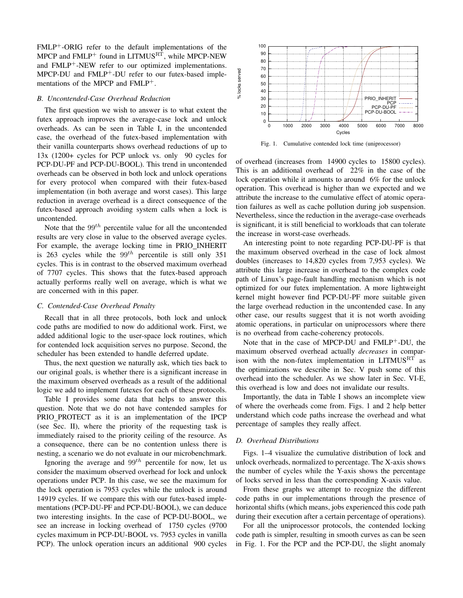FMLP+-ORIG refer to the default implementations of the MPCP and  $FMLP$ <sup>+</sup> found in LITMUS<sup>RT</sup>, while MPCP-NEW and  $FMLP^+$ -NEW refer to our optimized implementations. MPCP-DU and FMLP+-DU refer to our futex-based implementations of the MPCP and FMLP+.

### *B. Uncontended-Case Overhead Reduction*

The first question we wish to answer is to what extent the futex approach improves the average-case lock and unlock overheads. As can be seen in Table [I,](#page-6-0) in the uncontended case, the overhead of the futex-based implementation with their vanilla counterparts shows overhead reductions of up to 13x (1200+ cycles for PCP unlock vs. only 90 cycles for PCP-DU-PF and PCP-DU-BOOL). This trend in uncontended overheads can be observed in both lock and unlock operations for every protocol when compared with their futex-based implementation (in both average and worst cases). This large reduction in average overhead is a direct consequence of the futex-based approach avoiding system calls when a lock is uncontended.

Note that the  $99<sup>th</sup>$  percentile value for all the uncontended results are very close in value to the observed average cycles. For example, the average locking time in PRIO INHERIT is 263 cycles while the  $99^{th}$  percentile is still only 351 cycles. This is in contrast to the observed maximum overhead of 7707 cycles. This shows that the futex-based approach actually performs really well on average, which is what we are concerned with in this paper.

## *C. Contended-Case Overhead Penalty*

Recall that in all three protocols, both lock and unlock code paths are modified to now do additional work. First, we added additional logic to the user-space lock routines, which for contended lock acquisition serves no purpose. Second, the scheduler has been extended to handle deferred update.

Thus, the next question we naturally ask, which ties back to our original goals, is whether there is a significant increase in the maximum observed overheads as a result of the additional logic we add to implement futexes for each of these protocols.

Table [I](#page-6-0) provides some data that helps to answer this question. Note that we do not have contended samples for PRIO PROTECT as it is an implementation of the IPCP (see Sec. [II\)](#page-1-0), where the priority of the requesting task is immediately raised to the priority ceiling of the resource. As a consequence, there can be no contention unless there is nesting, a scenario we do not evaluate in our microbenchmark.

Ignoring the average and  $99<sup>th</sup>$  percentile for now, let us consider the maximum observed overhead for lock and unlock operations under PCP. In this case, we see the maximum for the lock operation is 7953 cycles while the unlock is around 14919 cycles. If we compare this with our futex-based implementations (PCP-DU-PF and PCP-DU-BOOL), we can deduce two interesting insights. In the case of PCP-DU-BOOL, we see an increase in locking overhead of 1750 cycles (9700 cycles maximum in PCP-DU-BOOL vs. 7953 cycles in vanilla PCP). The unlock operation incurs an additional 900 cycles



% locks served

<span id="page-7-0"></span>Fig. 1. Cumulative contended lock time (uniprocessor)

of overhead (increases from 14900 cycles to 15800 cycles). This is an additional overhead of 22% in the case of the lock operation while it amounts to around 6% for the unlock operation. This overhead is higher than we expected and we attribute the increase to the cumulative effect of atomic operation failures as well as cache pollution during job suspension. Nevertheless, since the reduction in the average-case overheads is significant, it is still beneficial to workloads that can tolerate the increase in worst-case overheads.

An interesting point to note regarding PCP-DU-PF is that the maximum observed overhead in the case of lock almost doubles (increases to 14,820 cycles from 7,953 cycles). We attribute this large increase in overhead to the complex code path of Linux's page-fault handling mechanism which is not optimized for our futex implementation. A more lightweight kernel might however find PCP-DU-PF more suitable given the large overhead reduction in the uncontended case. In any other case, our results suggest that it is not worth avoiding atomic operations, in particular on uniprocessors where there is no overhead from cache-coherency protocols.

Note that in the case of MPCP-DU and FMLP<sup>+</sup>-DU, the maximum observed overhead actually *decreases* in comparison with the non-futex implementation in  $LITMUS<sup>RT</sup>$  as the optimizations we describe in Sec. [V](#page-4-0) push some of this overhead into the scheduler. As we show later in Sec. [VI-E,](#page-8-0) this overhead is low and does not invalidate our results.

Importantly, the data in Table [I](#page-6-0) shows an incomplete view of where the overheads come from. Figs. [1](#page-7-0) and [2](#page-8-1) help better understand which code paths increase the overhead and what percentage of samples they really affect.

## *D. Overhead Distributions*

Figs. [1](#page-7-0)[–4](#page-8-2) visualize the cumulative distribution of lock and unlock overheads, normalized to percentage. The X-axis shows the number of cycles while the Y-axis shows the percentage of locks served in less than the corresponding X-axis value.

From these graphs we attempt to recognize the different code paths in our implementations through the presence of horizontal shifts (which means, jobs experienced this code path during their execution after a certain percentage of operations).

For all the uniprocessor protocols, the contended locking code path is simpler, resulting in smooth curves as can be seen in Fig. [1.](#page-7-0) For the PCP and the PCP-DU, the slight anomaly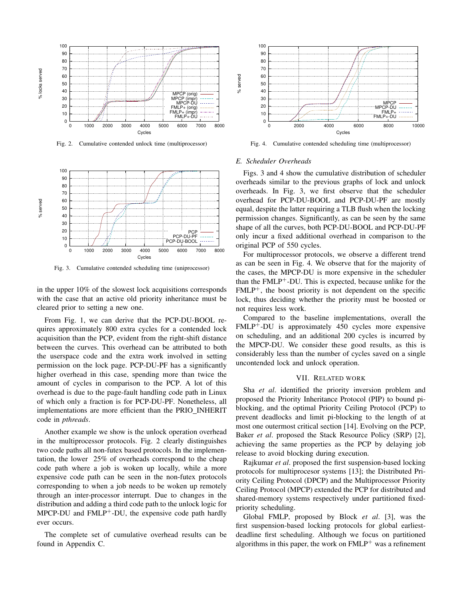

% locks served

<span id="page-8-1"></span>Fig. 2. Cumulative contended unlock time (multiprocessor)



<span id="page-8-3"></span>Fig. 3. Cumulative contended scheduling time (uniprocessor)

in the upper 10% of the slowest lock acquisitions corresponds with the case that an active old priority inheritance must be cleared prior to setting a new one.

From Fig. [1,](#page-7-0) we can derive that the PCP-DU-BOOL requires approximately 800 extra cycles for a contended lock acquisition than the PCP, evident from the right-shift distance between the curves. This overhead can be attributed to both the userspace code and the extra work involved in setting permission on the lock page. PCP-DU-PF has a significantly higher overhead in this case, spending more than twice the amount of cycles in comparison to the PCP. A lot of this overhead is due to the page-fault handling code path in Linux of which only a fraction is for PCP-DU-PF. Nonetheless, all implementations are more efficient than the PRIO INHERIT code in *pthreads*.

Another example we show is the unlock operation overhead in the multiprocessor protocols. Fig. [2](#page-8-1) clearly distinguishes two code paths all non-futex based protocols. In the implementation, the lower 25% of overheads correspond to the cheap code path where a job is woken up locally, while a more expensive code path can be seen in the non-futex protocols corresponding to when a job needs to be woken up remotely through an inter-processor interrupt. Due to changes in the distribution and adding a third code path to the unlock logic for  $MPCP-DU$  and  $FMLP<sup>+</sup>-DU$ , the expensive code path hardly ever occurs.

The complete set of cumulative overhead results can be found in Appendix [C.](#page-11-0)



<span id="page-8-2"></span>Fig. 4. Cumulative contended scheduling time (multiprocessor)

#### <span id="page-8-0"></span>*E. Scheduler Overheads*

Figs. [3](#page-8-3) and [4](#page-8-2) show the cumulative distribution of scheduler overheads similar to the previous graphs of lock and unlock overheads. In Fig. [3,](#page-8-3) we first observe that the scheduler overhead for PCP-DU-BOOL and PCP-DU-PF are mostly equal, despite the latter requiring a TLB flush when the locking permission changes. Significantly, as can be seen by the same shape of all the curves, both PCP-DU-BOOL and PCP-DU-PF only incur a fixed additional overhead in comparison to the original PCP of 550 cycles.

For multiprocessor protocols, we observe a different trend as can be seen in Fig. [4.](#page-8-2) We observe that for the majority of the cases, the MPCP-DU is more expensive in the scheduler than the  $FMLP^+$ -DU. This is expected, because unlike for the  $FMLP<sup>+</sup>$ , the boost priority is not dependent on the specific lock, thus deciding whether the priority must be boosted or not requires less work.

Compared to the baseline implementations, overall the  $FMLP^+$ -DU is approximately 450 cycles more expensive on scheduling, and an additional 200 cycles is incurred by the MPCP-DU. We consider these good results, as this is considerably less than the number of cycles saved on a single uncontended lock and unlock operation.

#### VII. RELATED WORK

Sha *et al*. identified the priority inversion problem and proposed the Priority Inheritance Protocol (PIP) to bound piblocking, and the optimal Priority Ceiling Protocol (PCP) to prevent deadlocks and limit pi-blocking to the length of at most one outermost critical section [\[14\]](#page-9-6). Evolving on the PCP, Baker *et al*. proposed the Stack Resource Policy (SRP) [\[2\]](#page-9-9), achieving the same properties as the PCP by delaying job release to avoid blocking during execution.

Rajkumar *et al*. proposed the first suspension-based locking protocols for multiprocesor systems [\[13\]](#page-9-7); the Distributed Priority Ceiling Protocol (DPCP) and the Multiprocessor Priority Ceiling Protocol (MPCP) extended the PCP for distributed and shared-memory systems respectively under partitioned fixedpriority scheduling.

Global FMLP, proposed by Block *et al*. [\[3\]](#page-9-10), was the first suspension-based locking protocols for global earliestdeadline first scheduling. Although we focus on partitioned algorithms in this paper, the work on  $FMLP^+$  was a refinement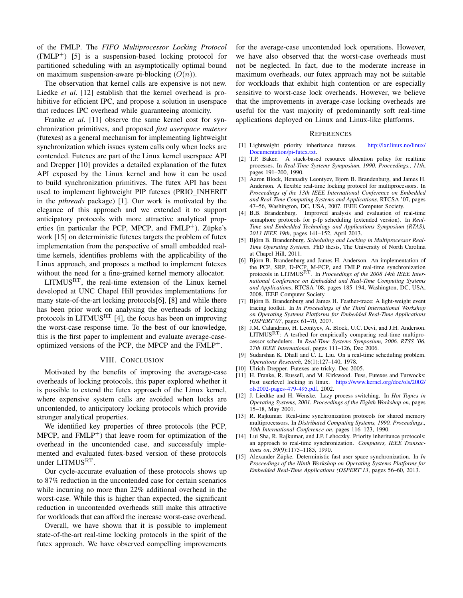of the FMLP. The *FIFO Multiprocessor Locking Protocol*  $(FMLP^+)$  [\[5\]](#page-9-8) is a suspension-based locking protocol for partitioned scheduling with an asymptotically optimal bound on maximum suspension-aware pi-blocking  $(O(n))$ .

The observation that kernel calls are expensive is not new. Liedke *et al*. [\[12\]](#page-9-11) establish that the kernel overhead is prohibitive for efficient IPC, and propose a solution in userspace that reduces IPC overhead while guaranteeing atomicity.

Franke *et al*. [\[11\]](#page-9-1) observe the same kernel cost for synchronization primitives, and proposed *fast userspace mutexes* (futexes) as a general mechanism for implementing lightweight synchronization which issues system calls only when locks are contended. Futexes are part of the Linux kernel userspace API and Drepper [\[10\]](#page-9-12) provides a detailed explanation of the futex API exposed by the Linux kernel and how it can be used to build synchronization primitives. The futex API has been used to implement lightweight PIP futexes (PRIO\_INHERIT in the *pthreads* package) [\[1\]](#page-9-2). Our work is motivated by the elegance of this approach and we extended it to support anticipatory protocols with more attractive analytical properties (in particular the PCP, MPCP, and  $FMLP^+$ ). Züpke's work [\[15\]](#page-9-13) on deterministic futexes targets the problem of futex implementation from the perspective of small embedded realtime kernels, identifies problems with the applicability of the Linux approach, and proposes a method to implement futexes without the need for a fine-grained kernel memory allocator.

LITMUSRT, the real-time extension of the Linux kernel developed at UNC Chapel Hill provides implementations for many state-of-the-art locking protocols[\[6\]](#page-9-5), [\[8\]](#page-9-4) and while there has been prior work on analysing the overheads of locking protocols in LITMUS<sup>RT</sup> [\[4\]](#page-9-14), the focus has been on improving the worst-case response time. To the best of our knowledge, this is the first paper to implement and evaluate average-caseoptimized versions of the PCP, the MPCP and the  $FMLP<sup>+</sup>$ .

### VIII. CONCLUSION

Motivated by the benefits of improving the average-case overheads of locking protocols, this paper explored whether it is possible to extend the futex approach of the Linux kernel, where expensive system calls are avoided when locks are uncontended, to anticipatory locking protocols which provide stronger analytical properties.

We identified key properties of three protocols (the PCP, MPCP, and  $FMLP<sup>+</sup>$ ) that leave room for optimization of the overhead in the uncontended case, and successfuly implemented and evaluated futex-based version of these protocols under LITMUS $R$ <sup>RT</sup>.

Our cycle-accurate evaluation of these protocols shows up to 87% reduction in the uncontended case for certain scenarios while incurring no more than 22% additional overhead in the worst-case. While this is higher than expected, the significant reduction in uncontended overheads still make this attractive for workloads that can afford the increase worst-case overhead.

Overall, we have shown that it is possible to implement state-of-the-art real-time locking protocols in the spirit of the futex approach. We have observed compelling improvements for the average-case uncontended lock operations. However, we have also observed that the worst-case overheads must not be neglected. In fact, due to the moderate increase in maximum overheads, our futex approach may not be suitable for workloads that exhibit high contention or are especially sensitive to worst-case lock overheads. However, we believe that the improvements in average-case locking overheads are useful for the vast majority of predominantly soft real-time applications deployed on Linux and Linux-like platforms.

#### **REFERENCES**

- <span id="page-9-2"></span>[1] Lightweight priority inheritance futexes. [http://lxr.linux.no/linux/](http://lxr.linux.no/linux/Documentation/pi-futex.txt) [Documentation/pi-futex.txt.](http://lxr.linux.no/linux/Documentation/pi-futex.txt)
- <span id="page-9-9"></span>[2] T.P. Baker. A stack-based resource allocation policy for realtime processes. In *Real-Time Systems Symposium, 1990. Proceedings., 11th*, pages 191–200, 1990.
- <span id="page-9-10"></span>[3] Aaron Block, Hennadiy Leontyev, Bjorn B. Brandenburg, and James H. Anderson. A flexible real-time locking protocol for multiprocessors. In *Proceedings of the 13th IEEE International Conference on Embedded and Real-Time Computing Systems and Applications*, RTCSA '07, pages 47–56, Washington, DC, USA, 2007. IEEE Computer Society.
- <span id="page-9-14"></span>[4] B.B. Brandenburg. Improved analysis and evaluation of real-time semaphore protocols for p-fp scheduling (extended version). In *Real-Time and Embedded Technology and Applications Symposium (RTAS), 2013 IEEE 19th*, pages 141–152, April 2013.
- <span id="page-9-8"></span>[5] Björn B. Brandenburg. Scheduling and Locking in Multiprocessor Real-*Time Operating Systems*. PhD thesis, The University of North Carolina at Chapel Hill, 2011.
- <span id="page-9-5"></span>[6] Björn B. Brandenburg and James H. Anderson. An implementation of the PCP, SRP, D-PCP, M-PCP, and FMLP real-time synchronization protocols in LITMUSRT. In *Proceedings of the 2008 14th IEEE International Conference on Embedded and Real-Time Computing Systems and Applications*, RTCSA '08, pages 185–194, Washington, DC, USA, 2008. IEEE Computer Society.
- <span id="page-9-0"></span>[7] Björn B. Brandenburg and James H. Feather-trace: A light-weight event tracing toolkit. In *In Proceedings of the Third International Workshop on Operating Systems Platforms for Embedded Real-Time Applications (OSPERT'07*, pages 61–70, 2007.
- <span id="page-9-4"></span>[8] J.M. Calandrino, H. Leontyev, A. Block, U.C. Devi, and J.H. Anderson.  $LITMUS<sup>RT</sup>$ : A testbed for empirically comparing real-time multiprocessor schedulers. In *Real-Time Systems Symposium, 2006. RTSS '06. 27th IEEE International*, pages 111–126, Dec 2006.
- <span id="page-9-3"></span>[9] Sudarshan K. Dhall and C. L. Liu. On a real-time scheduling problem. *Operations Research*, 26(1):127–140, 1978.
- <span id="page-9-12"></span>[10] Ulrich Drepper. Futexes are tricky. Dec 2005.
- <span id="page-9-1"></span>[11] H. Franke, R. Russell, and M. Kirkwood. Fuss, Futexes and Furwocks: Fast userlevel locking in linux. [https://www.kernel.org/doc/ols/2002/](https://www.kernel.org/doc/ols/2002/ols2002-pages-479-495.pdf) [ols2002-pages-479-495.pdf,](https://www.kernel.org/doc/ols/2002/ols2002-pages-479-495.pdf) 2002.
- <span id="page-9-11"></span>[12] J. Liedtke and H. Wenske. Lazy process switching. In *Hot Topics in Operating Systems, 2001. Proceedings of the Eighth Workshop on*, pages 15–18, May 2001.
- <span id="page-9-7"></span>[13] R. Rajkumar. Real-time synchronization protocols for shared memory multiprocessors. In *Distributed Computing Systems, 1990. Proceedings., 10th International Conference on*, pages 116–123, 1990.
- <span id="page-9-6"></span>[14] Lui Sha, R. Rajkumar, and J.P. Lehoczky. Priority inheritance protocols: an approach to real-time synchronization. *Computers, IEEE Transactions on*, 39(9):1175–1185, 1990.
- <span id="page-9-13"></span>[15] Alexander Züpke. Deterministic fast user space synchronization. In *In Proceedings of the Ninth Workshop on Operating Systems Platforms for Embedded Real-Time Applications (OSPERT'13*, pages 56–60, 2013.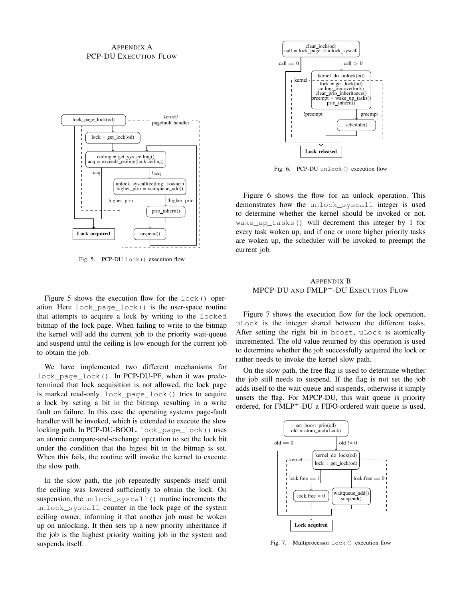## APPENDIX A PCP-DU EXECUTION FLOW



Fig. 5. PCP-DU lock() execution flow

Figure [5](#page-10-0) shows the execution flow for the lock() operation. Here lock\_page\_lock() is the user-space routine that attempts to acquire a lock by writing to the locked bitmap of the lock page. When failing to write to the bitmap the kernel will add the current job to the priority wait-queue and suspend until the ceiling is low enough for the current job to obtain the job.

We have implemented two different mechanisms for lock\_page\_lock(). In PCP-DU-PF, when it was predetermined that lock acquisition is not allowed, the lock page is marked read-only. lock\_page\_lock() tries to acquire a lock by seting a bit in the bitmap, resulting in a write fault on failure. In this case the operating systems page-fault handler will be invoked, which is extended to execute the slow locking path. In PCP-DU-BOOL, lock\_page\_lock() uses an atomic compare-and-exchange operation to set the lock bit under the condition that the higest bit in the bitmap is set. When this fails, the routine will invoke the kernel to execute the slow path.

In the slow path, the job repeatedly suspends itself until the ceiling was lowered sufficiently to obtain the lock. On suspension, the unlock\_syscall() routine increments the unlock\_syscall counter in the lock page of the system ceiling owner, informing it that another job must be woken up on unlocking. It then sets up a new priority inheritance if the job is the highest priority waiting job in the system and suspends itself.



<span id="page-10-1"></span>Fig. 6. PCP-DU unlock() execution flow

<span id="page-10-0"></span>Figure [6](#page-10-1) shows the flow for an unlock operation. This demonstrates how the unlock\_syscall integer is used to determine whether the kernel should be invoked or not. wake up tasks() will decrement this integer by 1 for every task woken up, and if one or more higher priority tasks are woken up, the scheduler will be invoked to preempt the current job.

## APPENDIX B MPCP-DU AND FMLP<sup>+</sup>-DU EXECUTION FLOW

Figure [7](#page-10-2) shows the execution flow for the lock operation. uLock is the integer shared between the different tasks. After setting the right bit in boost, uLock is atomically incremented. The old value returned by this operation is used to determine whether the job successfully acquired the lock or rather needs to invoke the kernel slow path.

On the slow path, the free flag is used to determine whether the job still needs to suspend. If the flag is not set the job adds itself to the wait queue and suspends, otherwise it simply unsets the flag. For MPCP-DU, this wait queue is priority ordered, for FMLP<sup>+</sup>-DU a FIFO-ordered wait queue is used.



<span id="page-10-2"></span>Fig. 7. Multiprocessor lock() execution flow